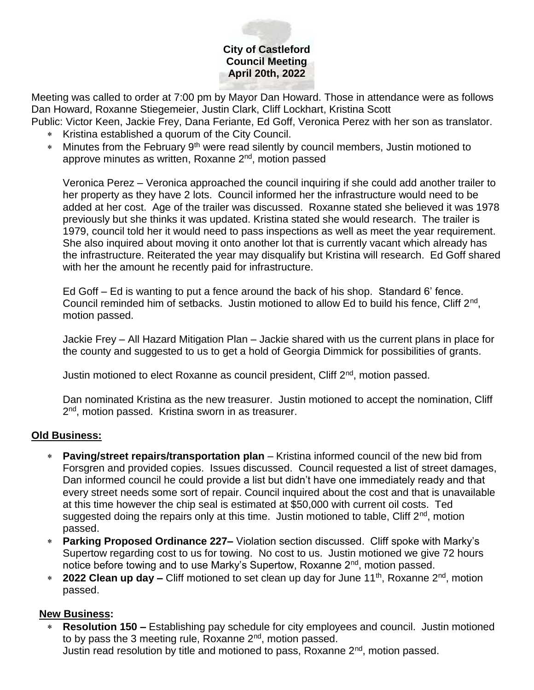# **City of Castleford Council Meeting April 20th, 2022**

Meeting was called to order at 7:00 pm by Mayor Dan Howard. Those in attendance were as follows Dan Howard, Roxanne Stiegemeier, Justin Clark, Cliff Lockhart, Kristina Scott

Public: Victor Keen, Jackie Frey, Dana Feriante, Ed Goff, Veronica Perez with her son as translator.

- \* Kristina established a quorum of the City Council.
- \* Minutes from the February 9<sup>th</sup> were read silently by council members, Justin motioned to approve minutes as written, Roxanne 2<sup>nd</sup>, motion passed

Veronica Perez – Veronica approached the council inquiring if she could add another trailer to her property as they have 2 lots. Council informed her the infrastructure would need to be added at her cost. Age of the trailer was discussed. Roxanne stated she believed it was 1978 previously but she thinks it was updated. Kristina stated she would research. The trailer is 1979, council told her it would need to pass inspections as well as meet the year requirement. She also inquired about moving it onto another lot that is currently vacant which already has the infrastructure. Reiterated the year may disqualify but Kristina will research. Ed Goff shared with her the amount he recently paid for infrastructure.

Ed Goff – Ed is wanting to put a fence around the back of his shop. Standard 6' fence. Council reminded him of setbacks. Justin motioned to allow Ed to build his fence, Cliff 2<sup>nd</sup>, motion passed.

Jackie Frey – All Hazard Mitigation Plan – Jackie shared with us the current plans in place for the county and suggested to us to get a hold of Georgia Dimmick for possibilities of grants.

Justin motioned to elect Roxanne as council president, Cliff 2nd, motion passed.

Dan nominated Kristina as the new treasurer. Justin motioned to accept the nomination, Cliff 2<sup>nd</sup>, motion passed. Kristina sworn in as treasurer.

# **Old Business:**

- **Paving/street repairs/transportation plan** Kristina informed council of the new bid from Forsgren and provided copies. Issues discussed. Council requested a list of street damages, Dan informed council he could provide a list but didn't have one immediately ready and that every street needs some sort of repair. Council inquired about the cost and that is unavailable at this time however the chip seal is estimated at \$50,000 with current oil costs. Ted suggested doing the repairs only at this time. Justin motioned to table, Cliff  $2<sup>nd</sup>$ , motion passed.
- **Parking Proposed Ordinance 227–** Violation section discussed. Cliff spoke with Marky's Supertow regarding cost to us for towing. No cost to us. Justin motioned we give 72 hours notice before towing and to use Marky's Supertow, Roxanne 2<sup>nd</sup>, motion passed.
- <sup>\*</sup> 2022 Clean up day Cliff motioned to set clean up day for June 11<sup>th</sup>, Roxanne 2<sup>nd</sup>, motion passed.

# **New Business:**

 **Resolution 150 –** Establishing pay schedule for city employees and council. Justin motioned to by pass the 3 meeting rule, Roxanne  $2<sup>nd</sup>$ , motion passed. Justin read resolution by title and motioned to pass, Roxanne 2nd, motion passed.